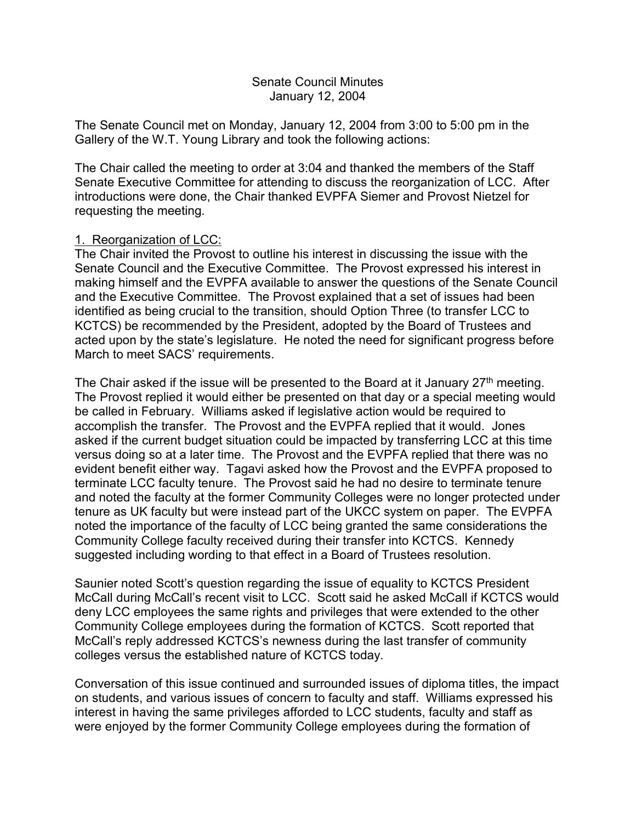## Senate Council Minutes January 12, 2004

The Senate Council met on Monday, January 12, 2004 from 3:00 to 5:00 pm in the Gallery of the W.T. Young Library and took the following actions:

The Chair called the meeting to order at 3:04 and thanked the members of the Staff Senate Executive Committee for attending to discuss the reorganization of LCC. After introductions were done, the Chair thanked EVPFA Siemer and Provost Nietzel for requesting the meeting.

# 1. Reorganization of LCC:

The Chair invited the Provost to outline his interest in discussing the issue with the Senate Council and the Executive Committee. The Provost expressed his interest in making himself and the EVPFA available to answer the questions of the Senate Council and the Executive Committee. The Provost explained that a set of issues had been identified as being crucial to the transition, should Option Three (to transfer LCC to KCTCS) be recommended by the President, adopted by the Board of Trustees and acted upon by the state's legislature. He noted the need for significant progress before March to meet SACS' requirements.

The Chair asked if the issue will be presented to the Board at it January  $27<sup>th</sup>$  meeting. The Provost replied it would either be presented on that day or a special meeting would be called in February. Williams asked if legislative action would be required to accomplish the transfer. The Provost and the EVPFA replied that it would. Jones asked if the current budget situation could be impacted by transferring LCC at this time versus doing so at a later time. The Provost and the EVPFA replied that there was no evident benefit either way. Tagavi asked how the Provost and the EVPFA proposed to terminate LCC faculty tenure. The Provost said he had no desire to terminate tenure and noted the faculty at the former Community Colleges were no longer protected under tenure as UK faculty but were instead part of the UKCC system on paper. The EVPFA noted the importance of the faculty of LCC being granted the same considerations the Community College faculty received during their transfer into KCTCS. Kennedy suggested including wording to that effect in a Board of Trustees resolution.

Saunier noted Scott's question regarding the issue of equality to KCTCS President McCall during McCall's recent visit to LCC. Scott said he asked McCall if KCTCS would deny LCC employees the same rights and privileges that were extended to the other Community College employees during the formation of KCTCS. Scott reported that McCall's reply addressed KCTCS's newness during the last transfer of community colleges versus the established nature of KCTCS today.

Conversation of this issue continued and surrounded issues of diploma titles, the impact on students, and various issues of concern to faculty and staff. Williams expressed his interest in having the same privileges afforded to LCC students, faculty and staff as were enjoyed by the former Community College employees during the formation of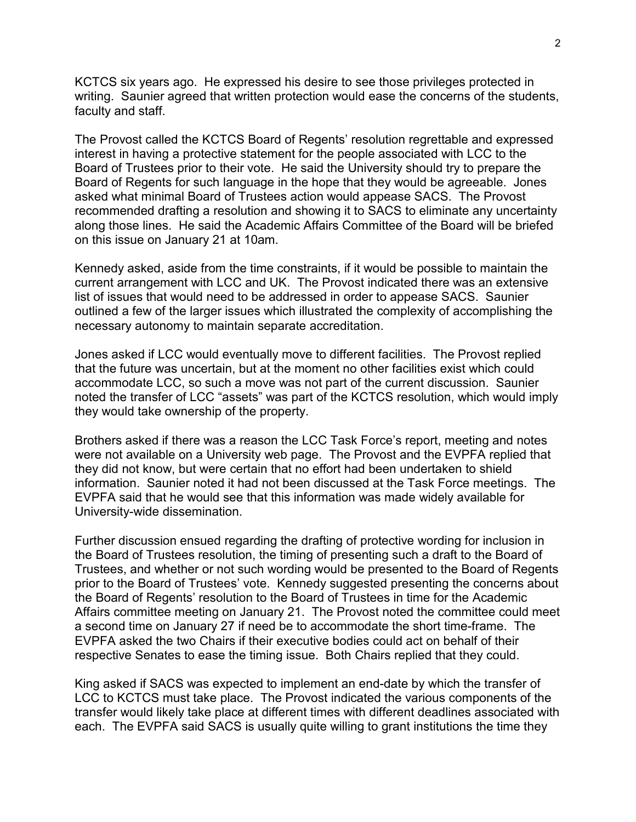KCTCS six years ago. He expressed his desire to see those privileges protected in writing. Saunier agreed that written protection would ease the concerns of the students, faculty and staff.

The Provost called the KCTCS Board of Regents' resolution regrettable and expressed interest in having a protective statement for the people associated with LCC to the Board of Trustees prior to their vote. He said the University should try to prepare the Board of Regents for such language in the hope that they would be agreeable. Jones asked what minimal Board of Trustees action would appease SACS. The Provost recommended drafting a resolution and showing it to SACS to eliminate any uncertainty along those lines. He said the Academic Affairs Committee of the Board will be briefed on this issue on January 21 at 10am.

Kennedy asked, aside from the time constraints, if it would be possible to maintain the current arrangement with LCC and UK. The Provost indicated there was an extensive list of issues that would need to be addressed in order to appease SACS. Saunier outlined a few of the larger issues which illustrated the complexity of accomplishing the necessary autonomy to maintain separate accreditation.

Jones asked if LCC would eventually move to different facilities. The Provost replied that the future was uncertain, but at the moment no other facilities exist which could accommodate LCC, so such a move was not part of the current discussion. Saunier noted the transfer of LCC "assets" was part of the KCTCS resolution, which would imply they would take ownership of the property.

Brothers asked if there was a reason the LCC Task Force's report, meeting and notes were not available on a University web page. The Provost and the EVPFA replied that they did not know, but were certain that no effort had been undertaken to shield information. Saunier noted it had not been discussed at the Task Force meetings. The EVPFA said that he would see that this information was made widely available for University-wide dissemination.

Further discussion ensued regarding the drafting of protective wording for inclusion in the Board of Trustees resolution, the timing of presenting such a draft to the Board of Trustees, and whether or not such wording would be presented to the Board of Regents prior to the Board of Trustees' vote. Kennedy suggested presenting the concerns about the Board of Regents' resolution to the Board of Trustees in time for the Academic Affairs committee meeting on January 21. The Provost noted the committee could meet a second time on January 27 if need be to accommodate the short time-frame. The EVPFA asked the two Chairs if their executive bodies could act on behalf of their respective Senates to ease the timing issue. Both Chairs replied that they could.

King asked if SACS was expected to implement an end-date by which the transfer of LCC to KCTCS must take place. The Provost indicated the various components of the transfer would likely take place at different times with different deadlines associated with each. The EVPFA said SACS is usually quite willing to grant institutions the time they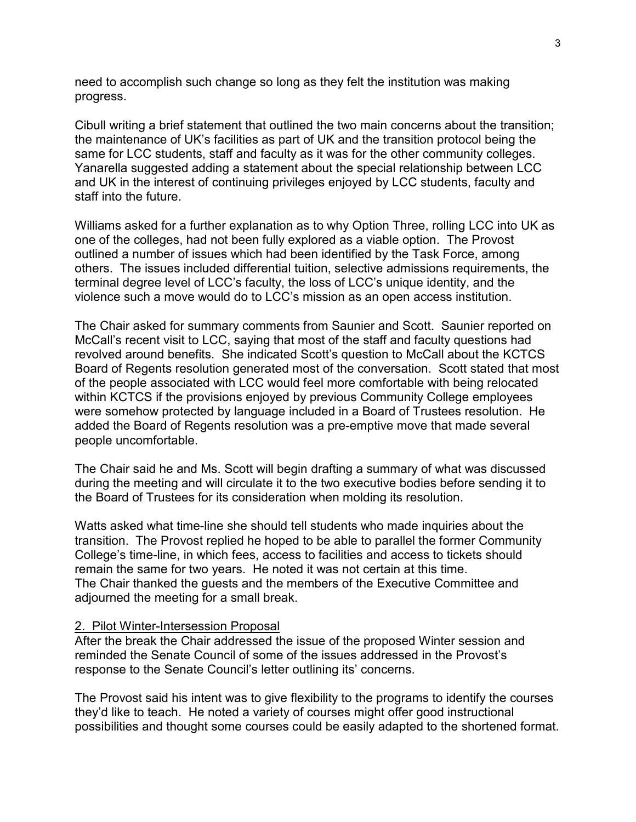need to accomplish such change so long as they felt the institution was making progress.

Cibull writing a brief statement that outlined the two main concerns about the transition; the maintenance of UK's facilities as part of UK and the transition protocol being the same for LCC students, staff and faculty as it was for the other community colleges. Yanarella suggested adding a statement about the special relationship between LCC and UK in the interest of continuing privileges enjoyed by LCC students, faculty and staff into the future.

Williams asked for a further explanation as to why Option Three, rolling LCC into UK as one of the colleges, had not been fully explored as a viable option. The Provost outlined a number of issues which had been identified by the Task Force, among others. The issues included differential tuition, selective admissions requirements, the terminal degree level of LCC's faculty, the loss of LCC's unique identity, and the violence such a move would do to LCC's mission as an open access institution.

The Chair asked for summary comments from Saunier and Scott. Saunier reported on McCall's recent visit to LCC, saying that most of the staff and faculty questions had revolved around benefits. She indicated Scott's question to McCall about the KCTCS Board of Regents resolution generated most of the conversation. Scott stated that most of the people associated with LCC would feel more comfortable with being relocated within KCTCS if the provisions enjoyed by previous Community College employees were somehow protected by language included in a Board of Trustees resolution. He added the Board of Regents resolution was a pre-emptive move that made several people uncomfortable.

The Chair said he and Ms. Scott will begin drafting a summary of what was discussed during the meeting and will circulate it to the two executive bodies before sending it to the Board of Trustees for its consideration when molding its resolution.

Watts asked what time-line she should tell students who made inquiries about the transition. The Provost replied he hoped to be able to parallel the former Community College's time-line, in which fees, access to facilities and access to tickets should remain the same for two years. He noted it was not certain at this time. The Chair thanked the guests and the members of the Executive Committee and adjourned the meeting for a small break.

#### 2. Pilot Winter-Intersession Proposal

After the break the Chair addressed the issue of the proposed Winter session and reminded the Senate Council of some of the issues addressed in the Provost's response to the Senate Council's letter outlining its' concerns.

The Provost said his intent was to give flexibility to the programs to identify the courses they'd like to teach. He noted a variety of courses might offer good instructional possibilities and thought some courses could be easily adapted to the shortened format.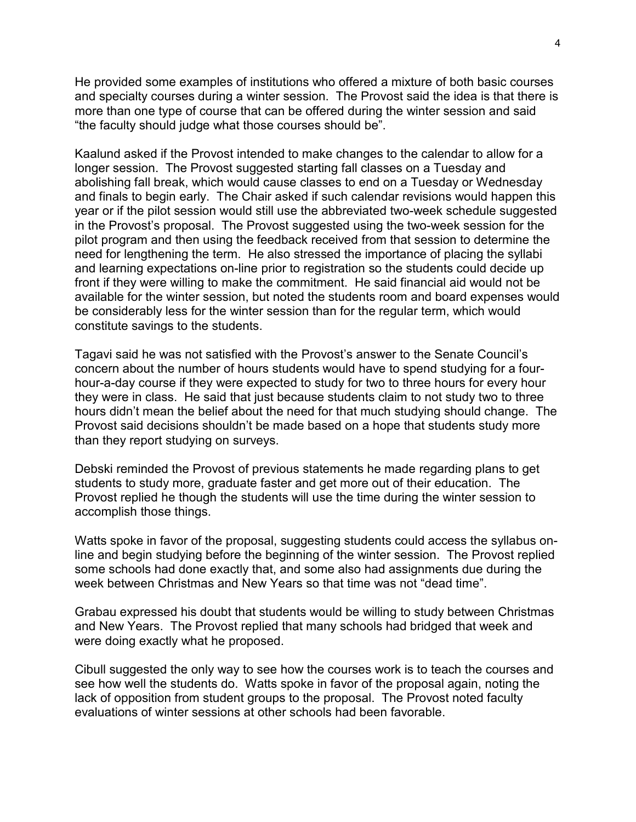He provided some examples of institutions who offered a mixture of both basic courses and specialty courses during a winter session. The Provost said the idea is that there is more than one type of course that can be offered during the winter session and said "the faculty should judge what those courses should be".

Kaalund asked if the Provost intended to make changes to the calendar to allow for a longer session. The Provost suggested starting fall classes on a Tuesday and abolishing fall break, which would cause classes to end on a Tuesday or Wednesday and finals to begin early. The Chair asked if such calendar revisions would happen this year or if the pilot session would still use the abbreviated two-week schedule suggested in the Provost's proposal. The Provost suggested using the two-week session for the pilot program and then using the feedback received from that session to determine the need for lengthening the term. He also stressed the importance of placing the syllabi and learning expectations on-line prior to registration so the students could decide up front if they were willing to make the commitment. He said financial aid would not be available for the winter session, but noted the students room and board expenses would be considerably less for the winter session than for the regular term, which would constitute savings to the students.

Tagavi said he was not satisfied with the Provost's answer to the Senate Council's concern about the number of hours students would have to spend studying for a fourhour-a-day course if they were expected to study for two to three hours for every hour they were in class. He said that just because students claim to not study two to three hours didn't mean the belief about the need for that much studying should change. The Provost said decisions shouldn't be made based on a hope that students study more than they report studying on surveys.

Debski reminded the Provost of previous statements he made regarding plans to get students to study more, graduate faster and get more out of their education. The Provost replied he though the students will use the time during the winter session to accomplish those things.

Watts spoke in favor of the proposal, suggesting students could access the syllabus online and begin studying before the beginning of the winter session. The Provost replied some schools had done exactly that, and some also had assignments due during the week between Christmas and New Years so that time was not "dead time".

Grabau expressed his doubt that students would be willing to study between Christmas and New Years. The Provost replied that many schools had bridged that week and were doing exactly what he proposed.

Cibull suggested the only way to see how the courses work is to teach the courses and see how well the students do. Watts spoke in favor of the proposal again, noting the lack of opposition from student groups to the proposal. The Provost noted faculty evaluations of winter sessions at other schools had been favorable.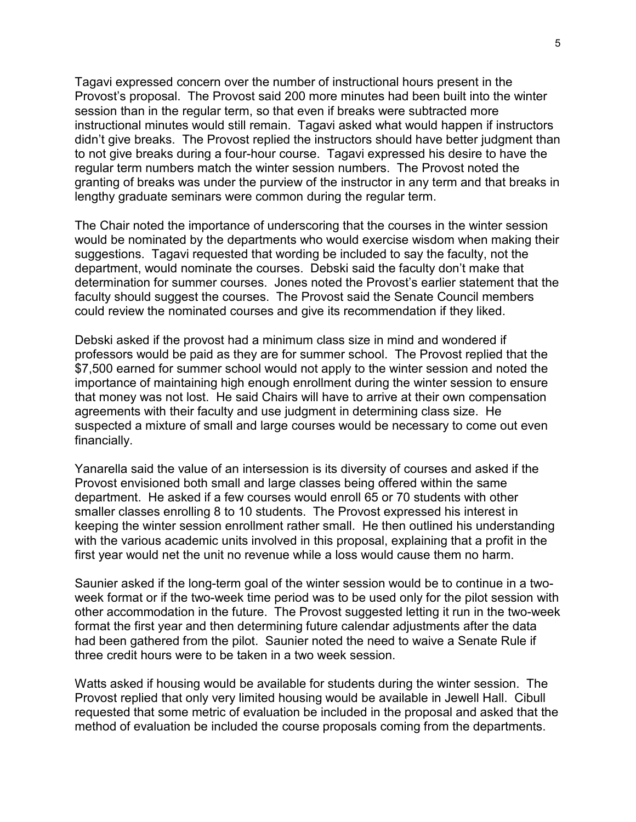Tagavi expressed concern over the number of instructional hours present in the Provost's proposal. The Provost said 200 more minutes had been built into the winter session than in the regular term, so that even if breaks were subtracted more instructional minutes would still remain. Tagavi asked what would happen if instructors didn't give breaks. The Provost replied the instructors should have better judgment than to not give breaks during a four-hour course. Tagavi expressed his desire to have the regular term numbers match the winter session numbers. The Provost noted the granting of breaks was under the purview of the instructor in any term and that breaks in lengthy graduate seminars were common during the regular term.

The Chair noted the importance of underscoring that the courses in the winter session would be nominated by the departments who would exercise wisdom when making their suggestions. Tagavi requested that wording be included to say the faculty, not the department, would nominate the courses. Debski said the faculty don't make that determination for summer courses. Jones noted the Provost's earlier statement that the faculty should suggest the courses. The Provost said the Senate Council members could review the nominated courses and give its recommendation if they liked.

Debski asked if the provost had a minimum class size in mind and wondered if professors would be paid as they are for summer school. The Provost replied that the \$7,500 earned for summer school would not apply to the winter session and noted the importance of maintaining high enough enrollment during the winter session to ensure that money was not lost. He said Chairs will have to arrive at their own compensation agreements with their faculty and use judgment in determining class size. He suspected a mixture of small and large courses would be necessary to come out even financially.

Yanarella said the value of an intersession is its diversity of courses and asked if the Provost envisioned both small and large classes being offered within the same department. He asked if a few courses would enroll 65 or 70 students with other smaller classes enrolling 8 to 10 students. The Provost expressed his interest in keeping the winter session enrollment rather small. He then outlined his understanding with the various academic units involved in this proposal, explaining that a profit in the first year would net the unit no revenue while a loss would cause them no harm.

Saunier asked if the long-term goal of the winter session would be to continue in a twoweek format or if the two-week time period was to be used only for the pilot session with other accommodation in the future. The Provost suggested letting it run in the two-week format the first year and then determining future calendar adjustments after the data had been gathered from the pilot. Saunier noted the need to waive a Senate Rule if three credit hours were to be taken in a two week session.

Watts asked if housing would be available for students during the winter session. The Provost replied that only very limited housing would be available in Jewell Hall. Cibull requested that some metric of evaluation be included in the proposal and asked that the method of evaluation be included the course proposals coming from the departments.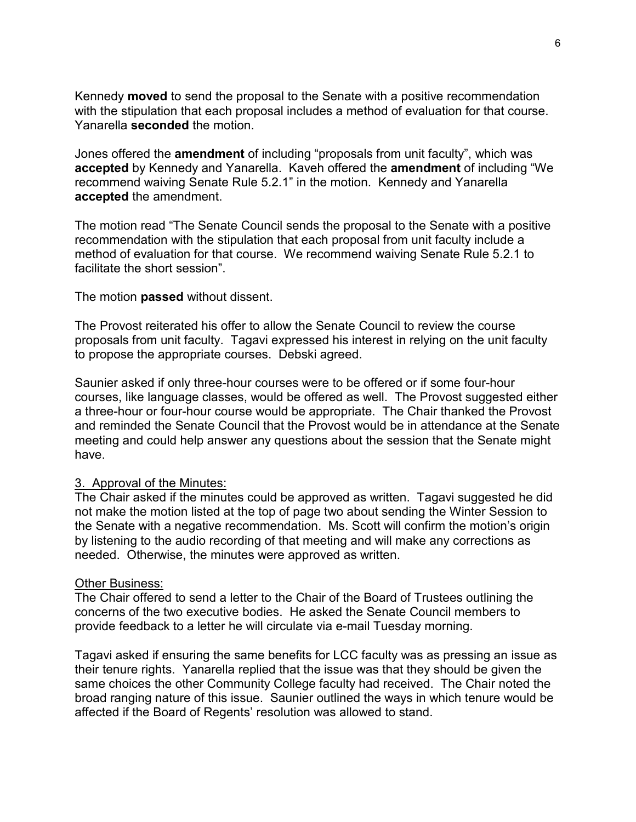Kennedy **moved** to send the proposal to the Senate with a positive recommendation with the stipulation that each proposal includes a method of evaluation for that course. Yanarella **seconded** the motion.

Jones offered the **amendment** of including "proposals from unit faculty", which was **accepted** by Kennedy and Yanarella. Kaveh offered the **amendment** of including "We recommend waiving Senate Rule 5.2.1" in the motion. Kennedy and Yanarella **accepted** the amendment.

The motion read "The Senate Council sends the proposal to the Senate with a positive recommendation with the stipulation that each proposal from unit faculty include a method of evaluation for that course. We recommend waiving Senate Rule 5.2.1 to facilitate the short session".

The motion **passed** without dissent.

The Provost reiterated his offer to allow the Senate Council to review the course proposals from unit faculty. Tagavi expressed his interest in relying on the unit faculty to propose the appropriate courses. Debski agreed.

Saunier asked if only three-hour courses were to be offered or if some four-hour courses, like language classes, would be offered as well. The Provost suggested either a three-hour or four-hour course would be appropriate. The Chair thanked the Provost and reminded the Senate Council that the Provost would be in attendance at the Senate meeting and could help answer any questions about the session that the Senate might have.

### 3. Approval of the Minutes:

The Chair asked if the minutes could be approved as written. Tagavi suggested he did not make the motion listed at the top of page two about sending the Winter Session to the Senate with a negative recommendation. Ms. Scott will confirm the motion's origin by listening to the audio recording of that meeting and will make any corrections as needed. Otherwise, the minutes were approved as written.

### Other Business:

The Chair offered to send a letter to the Chair of the Board of Trustees outlining the concerns of the two executive bodies. He asked the Senate Council members to provide feedback to a letter he will circulate via e-mail Tuesday morning.

Tagavi asked if ensuring the same benefits for LCC faculty was as pressing an issue as their tenure rights. Yanarella replied that the issue was that they should be given the same choices the other Community College faculty had received. The Chair noted the broad ranging nature of this issue. Saunier outlined the ways in which tenure would be affected if the Board of Regents' resolution was allowed to stand.